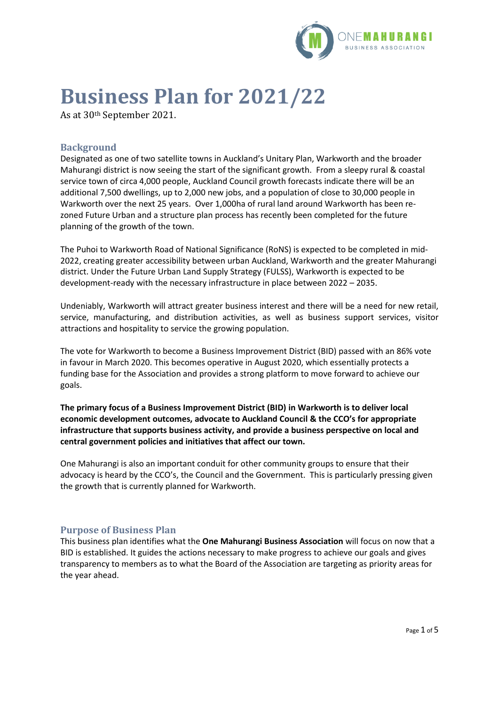

# **Business Plan for 2021/22**

As at 30th September 2021.

# **Background**

Designated as one of two satellite towns in Auckland's Unitary Plan, Warkworth and the broader Mahurangi district is now seeing the start of the significant growth. From a sleepy rural & coastal service town of circa 4,000 people, Auckland Council growth forecasts indicate there will be an additional 7,500 dwellings, up to 2,000 new jobs, and a population of close to 30,000 people in Warkworth over the next 25 years. Over 1,000ha of rural land around Warkworth has been rezoned Future Urban and a structure plan process has recently been completed for the future planning of the growth of the town.

The Puhoi to Warkworth Road of National Significance (RoNS) is expected to be completed in mid-2022, creating greater accessibility between urban Auckland, Warkworth and the greater Mahurangi district. Under the Future Urban Land Supply Strategy (FULSS), Warkworth is expected to be development-ready with the necessary infrastructure in place between 2022 – 2035.

Undeniably, Warkworth will attract greater business interest and there will be a need for new retail, service, manufacturing, and distribution activities, as well as business support services, visitor attractions and hospitality to service the growing population.

The vote for Warkworth to become a Business Improvement District (BID) passed with an 86% vote in favour in March 2020. This becomes operative in August 2020, which essentially protects a funding base for the Association and provides a strong platform to move forward to achieve our goals.

**The primary focus of a Business Improvement District (BID) in Warkworth is to deliver local economic development outcomes, advocate to Auckland Council & the CCO's for appropriate infrastructure that supports business activity, and provide a business perspective on local and central government policies and initiatives that affect our town.** 

One Mahurangi is also an important conduit for other community groups to ensure that their advocacy is heard by the CCO's, the Council and the Government. This is particularly pressing given the growth that is currently planned for Warkworth.

### **Purpose of Business Plan**

This business plan identifies what the **One Mahurangi Business Association** will focus on now that a BID is established. It guides the actions necessary to make progress to achieve our goals and gives transparency to members as to what the Board of the Association are targeting as priority areas for the year ahead.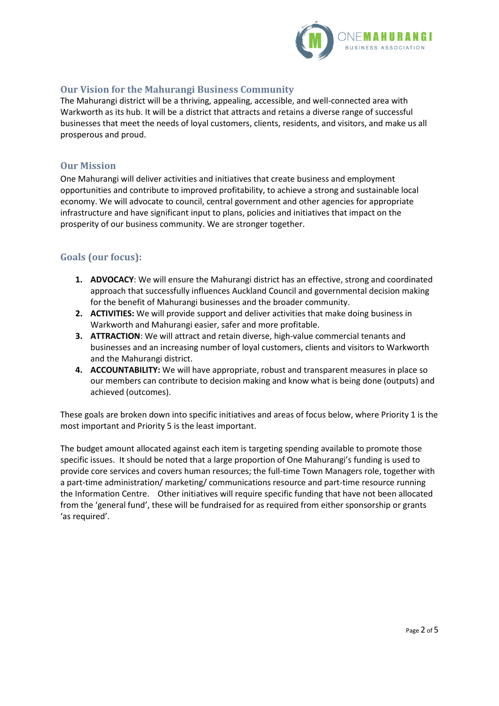

# **Our Vision for the Mahurangi Business Community**

The Mahurangi district will be a thriving, appealing, accessible, and well-connected area with Warkworth as its hub. It will be a district that attracts and retains a diverse range of successful businesses that meet the needs of loyal customers, clients, residents, and visitors, and make us all prosperous and proud.

#### **Our Mission**

One Mahurangi will deliver activities and initiatives that create business and employment opportunities and contribute to improved profitability, to achieve a strong and sustainable local economy. We will advocate to council, central government and other agencies for appropriate infrastructure and have significant input to plans, policies and initiatives that impact on the prosperity of our business community. We are stronger together.

### **Goals (our focus):**

- **1. ADVOCACY**: We will ensure the Mahurangi district has an effective, strong and coordinated approach that successfully influences Auckland Council and governmental decision making for the benefit of Mahurangi businesses and the broader community.
- **2. ACTIVITIES:** We will provide support and deliver activities that make doing business in Warkworth and Mahurangi easier, safer and more profitable.
- **3. ATTRACTION**: We will attract and retain diverse, high-value commercial tenants and businesses and an increasing number of loyal customers, clients and visitors to Warkworth and the Mahurangi district.
- **4. ACCOUNTABILITY:** We will have appropriate, robust and transparent measures in place so our members can contribute to decision making and know what is being done (outputs) and achieved (outcomes).

These goals are broken down into specific initiatives and areas of focus below, where Priority 1 is the most important and Priority 5 is the least important.

The budget amount allocated against each item is targeting spending available to promote those specific issues. It should be noted that a large proportion of One Mahurangi's funding is used to provide core services and covers human resources; the full-time Town Managers role, together with a part-time administration/ marketing/ communications resource and part-time resource running the Information Centre. Other initiatives will require specific funding that have not been allocated from the 'general fund', these will be fundraised for as required from either sponsorship or grants 'as required'.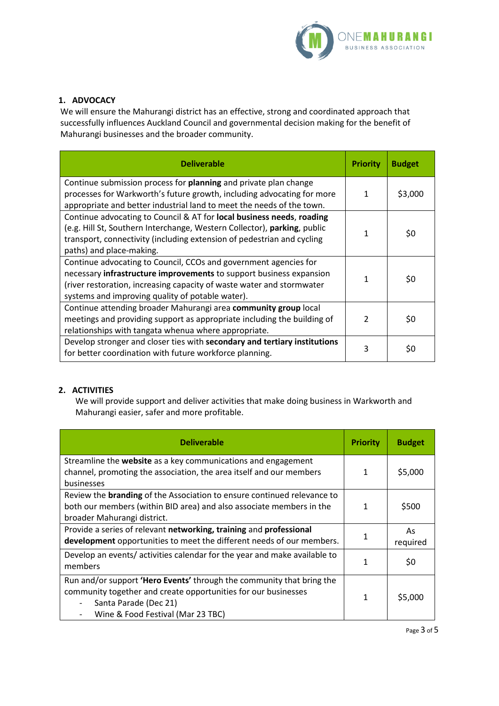

# **1. ADVOCACY**

We will ensure the Mahurangi district has an effective, strong and coordinated approach that successfully influences Auckland Council and governmental decision making for the benefit of Mahurangi businesses and the broader community.

| <b>Deliverable</b>                                                                                                                                                                                                                                                   | <b>Priority</b> | <b>Budget</b> |
|----------------------------------------------------------------------------------------------------------------------------------------------------------------------------------------------------------------------------------------------------------------------|-----------------|---------------|
| Continue submission process for planning and private plan change<br>processes for Warkworth's future growth, including advocating for more<br>appropriate and better industrial land to meet the needs of the town.                                                  | 1               | \$3,000       |
| Continue advocating to Council & AT for local business needs, roading<br>(e.g. Hill St, Southern Interchange, Western Collector), parking, public<br>transport, connectivity (including extension of pedestrian and cycling<br>paths) and place-making.              | 1               | \$0           |
| Continue advocating to Council, CCOs and government agencies for<br>necessary infrastructure improvements to support business expansion<br>(river restoration, increasing capacity of waste water and stormwater<br>systems and improving quality of potable water). | 1               | \$0           |
| Continue attending broader Mahurangi area community group local<br>meetings and providing support as appropriate including the building of<br>relationships with tangata whenua where appropriate.                                                                   | $\mathcal{P}$   | \$0           |
| Develop stronger and closer ties with secondary and tertiary institutions<br>for better coordination with future workforce planning.                                                                                                                                 | 3               | \$0           |

### **2. ACTIVITIES**

We will provide support and deliver activities that make doing business in Warkworth and Mahurangi easier, safer and more profitable.

| <b>Deliverable</b>                                                                                                                                                                                    | <b>Priority</b> | <b>Budget</b>  |
|-------------------------------------------------------------------------------------------------------------------------------------------------------------------------------------------------------|-----------------|----------------|
| Streamline the website as a key communications and engagement<br>channel, promoting the association, the area itself and our members<br>businesses                                                    | 1               | \$5,000        |
| Review the <b>branding</b> of the Association to ensure continued relevance to<br>both our members (within BID area) and also associate members in the<br>broader Mahurangi district.                 |                 | \$500          |
| Provide a series of relevant networking, training and professional<br>development opportunities to meet the different needs of our members.                                                           |                 | As<br>required |
| Develop an events/activities calendar for the year and make available to<br>members                                                                                                                   |                 | \$0            |
| Run and/or support 'Hero Events' through the community that bring the<br>community together and create opportunities for our businesses<br>Santa Parade (Dec 21)<br>Wine & Food Festival (Mar 23 TBC) |                 | \$5,000        |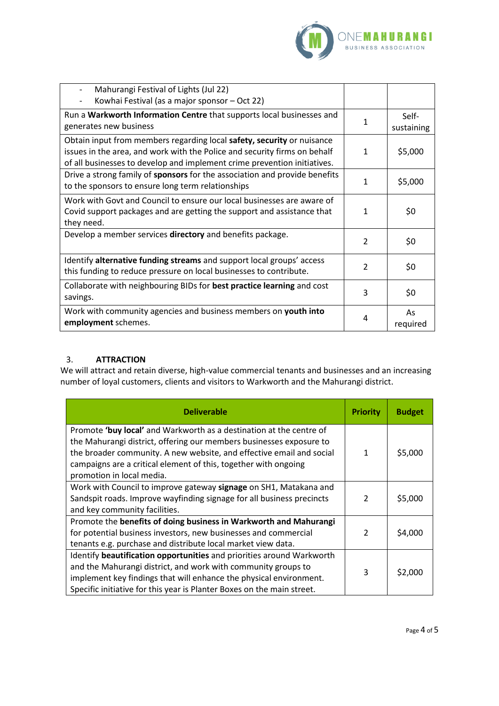

| Mahurangi Festival of Lights (Jul 22)<br>Kowhai Festival (as a major sponsor - Oct 22)                                                                                                                                          |               |                     |
|---------------------------------------------------------------------------------------------------------------------------------------------------------------------------------------------------------------------------------|---------------|---------------------|
| Run a Warkworth Information Centre that supports local businesses and<br>generates new business                                                                                                                                 | 1             | Self-<br>sustaining |
| Obtain input from members regarding local safety, security or nuisance<br>issues in the area, and work with the Police and security firms on behalf<br>of all businesses to develop and implement crime prevention initiatives. | 1             | \$5,000             |
| Drive a strong family of sponsors for the association and provide benefits<br>to the sponsors to ensure long term relationships                                                                                                 | 1             | \$5,000             |
| Work with Govt and Council to ensure our local businesses are aware of<br>Covid support packages and are getting the support and assistance that<br>they need.                                                                  | 1             | \$0                 |
| Develop a member services directory and benefits package.                                                                                                                                                                       | $\mathcal{P}$ | \$0                 |
| Identify alternative funding streams and support local groups' access<br>this funding to reduce pressure on local businesses to contribute.                                                                                     | $\mathcal{P}$ | \$0                 |
| Collaborate with neighbouring BIDs for best practice learning and cost<br>savings.                                                                                                                                              | 3             | \$0                 |
| Work with community agencies and business members on youth into<br>employment schemes.                                                                                                                                          | 4             | As<br>required      |

### 3. **ATTRACTION**

We will attract and retain diverse, high-value commercial tenants and businesses and an increasing number of loyal customers, clients and visitors to Warkworth and the Mahurangi district.

| <b>Deliverable</b>                                                                                                                                                                                                                                                                                                 | <b>Priority</b> | <b>Budget</b> |
|--------------------------------------------------------------------------------------------------------------------------------------------------------------------------------------------------------------------------------------------------------------------------------------------------------------------|-----------------|---------------|
| Promote 'buy local' and Warkworth as a destination at the centre of<br>the Mahurangi district, offering our members businesses exposure to<br>the broader community. A new website, and effective email and social<br>campaigns are a critical element of this, together with ongoing<br>promotion in local media. | 1               | \$5,000       |
| Work with Council to improve gateway signage on SH1, Matakana and<br>Sandspit roads. Improve wayfinding signage for all business precincts<br>and key community facilities.                                                                                                                                        | $\mathcal{P}$   | \$5,000       |
| Promote the benefits of doing business in Warkworth and Mahurangi<br>for potential business investors, new businesses and commercial<br>tenants e.g. purchase and distribute local market view data.                                                                                                               | $\mathcal{P}$   | \$4,000       |
| Identify beautification opportunities and priorities around Warkworth<br>and the Mahurangi district, and work with community groups to<br>implement key findings that will enhance the physical environment.<br>Specific initiative for this year is Planter Boxes on the main street.                             | 3               | \$2,000       |